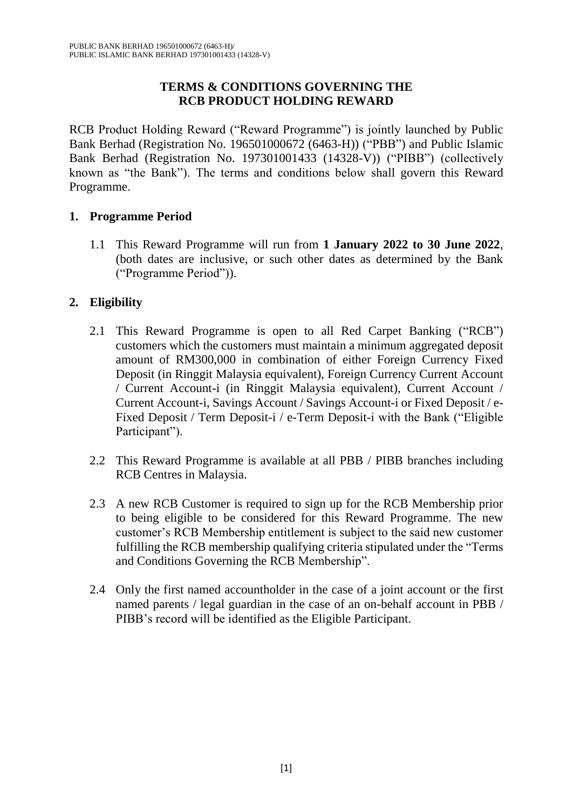#### **TERMS & CONDITIONS GOVERNING THE RCB PRODUCT HOLDING REWARD**

RCB Product Holding Reward ("Reward Programme") is jointly launched by Public Bank Berhad (Registration No. 196501000672 (6463-H)) ("PBB") and Public Islamic Bank Berhad (Registration No. 197301001433 (14328-V)) ("PIBB") (collectively known as "the Bank"). The terms and conditions below shall govern this Reward Programme.

### **1. Programme Period**

1.1 This Reward Programme will run from **1 January 2022 to 30 June 2022**, (both dates are inclusive, or such other dates as determined by the Bank ("Programme Period")).

# **2. Eligibility**

- 2.1 This Reward Programme is open to all Red Carpet Banking ("RCB") customers which the customers must maintain a minimum aggregated deposit amount of RM300,000 in combination of either Foreign Currency Fixed Deposit (in Ringgit Malaysia equivalent), Foreign Currency Current Account / Current Account-i (in Ringgit Malaysia equivalent), Current Account / Current Account-i, Savings Account / Savings Account-i or Fixed Deposit / e-Fixed Deposit / Term Deposit-i / e-Term Deposit-i with the Bank ("Eligible Participant").
- 2.2 This Reward Programme is available at all PBB / PIBB branches including RCB Centres in Malaysia.
- 2.3 A new RCB Customer is required to sign up for the RCB Membership prior to being eligible to be considered for this Reward Programme. The new customer's RCB Membership entitlement is subject to the said new customer fulfilling the RCB membership qualifying criteria stipulated under the "Terms and Conditions Governing the RCB Membership".
- 2.4 Only the first named accountholder in the case of a joint account or the first named parents / legal guardian in the case of an on-behalf account in PBB / PIBB's record will be identified as the Eligible Participant.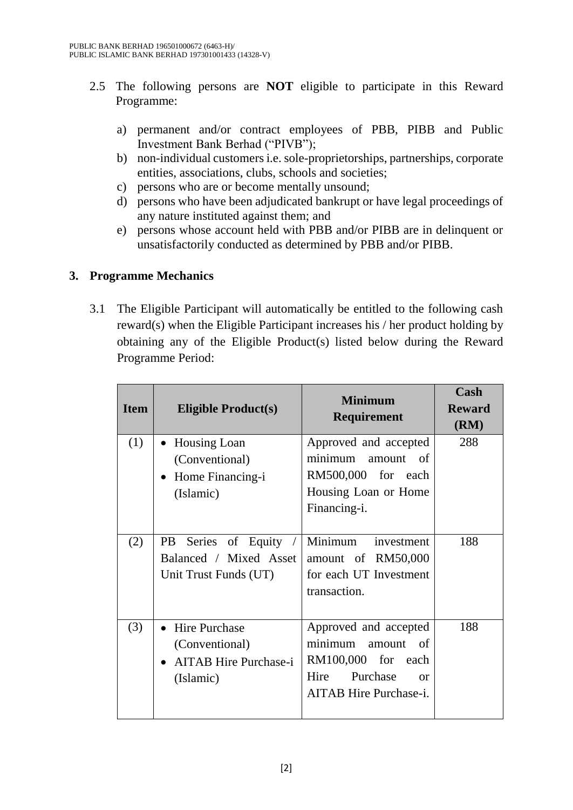- 2.5 The following persons are **NOT** eligible to participate in this Reward Programme:
	- a) permanent and/or contract employees of PBB, PIBB and Public Investment Bank Berhad ("PIVB");
	- b) non-individual customers i.e. sole-proprietorships, partnerships, corporate entities, associations, clubs, schools and societies;
	- c) persons who are or become mentally unsound;
	- d) persons who have been adjudicated bankrupt or have legal proceedings of any nature instituted against them; and
	- e) persons whose account held with PBB and/or PIBB are in delinquent or unsatisfactorily conducted as determined by PBB and/or PIBB.

#### **3. Programme Mechanics**

3.1 The Eligible Participant will automatically be entitled to the following cash reward(s) when the Eligible Participant increases his / her product holding by obtaining any of the Eligible Product(s) listed below during the Reward Programme Period:

| <b>Item</b> | <b>Eligible Product(s)</b>                                                          | <b>Minimum</b><br><b>Requirement</b>                                                                                                 | Cash<br><b>Reward</b><br>(RM) |
|-------------|-------------------------------------------------------------------------------------|--------------------------------------------------------------------------------------------------------------------------------------|-------------------------------|
| (1)         | <b>Housing Loan</b><br>(Conventional)<br>Home Financing-i<br>$\bullet$<br>(Islamic) | Approved and accepted<br>minimum<br>amount of<br>RM500,000 for each<br>Housing Loan or Home<br>Financing-i.                          | 288                           |
| (2)         | <b>PB</b><br>Series of Equity<br>Balanced / Mixed Asset<br>Unit Trust Funds (UT)    | Minimum<br>investment<br>amount of RM50,000<br>for each UT Investment<br>transaction.                                                | 188                           |
| (3)         | <b>Hire Purchase</b><br>(Conventional)<br><b>AITAB</b> Hire Purchase-i<br>(Islamic) | Approved and accepted<br>minimum<br>amount of<br>RM100,000 for each<br>Hire<br>Purchase<br>$\alpha$<br><b>AITAB</b> Hire Purchase-i. | 188                           |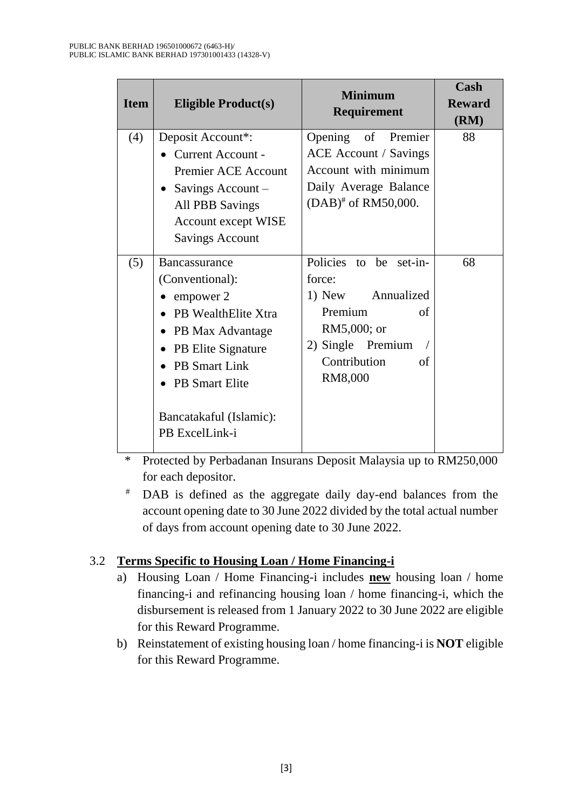| <b>Item</b> | <b>Eligible Product(s)</b>                                                                                                                                                                                                                 | <b>Minimum</b><br><b>Requirement</b>                                                                                                        | Cash<br><b>Reward</b><br>(RM) |
|-------------|--------------------------------------------------------------------------------------------------------------------------------------------------------------------------------------------------------------------------------------------|---------------------------------------------------------------------------------------------------------------------------------------------|-------------------------------|
| (4)         | Deposit Account*:<br>Current Account -<br><b>Premier ACE Account</b><br>Savings Account -<br>$\bullet$<br><b>All PBB Savings</b><br><b>Account except WISE</b><br><b>Savings Account</b>                                                   | Opening of Premier<br><b>ACE</b> Account / Savings<br>Account with minimum<br>Daily Average Balance<br>$(DAB)^*$ of RM50,000.               | 88                            |
| (5)         | Bancassurance<br>(Conventional):<br>$\bullet$ empower 2<br><b>PB</b> WealthElite Xtra<br>PB Max Advantage<br>$\bullet$<br>PB Elite Signature<br><b>PB</b> Smart Link<br><b>PB</b> Smart Elite<br>Bancatakaful (Islamic):<br>PB ExcelLink-i | Policies to be set-in-<br>force:<br>1) New Annualized<br>Premium<br>of<br>RM5,000; or<br>2) Single Premium<br>Contribution<br>of<br>RM8,000 | 68                            |

\* Protected by Perbadanan Insurans Deposit Malaysia up to RM250,000 for each depositor.

# DAB is defined as the aggregate daily day-end balances from the account opening date to 30 June 2022 divided by the total actual number of days from account opening date to 30 June 2022.

# 3.2 **Terms Specific to Housing Loan / Home Financing-i**

- a) Housing Loan / Home Financing-i includes **new** housing loan / home financing-i and refinancing housing loan / home financing-i, which the disbursement is released from 1 January 2022 to 30 June 2022 are eligible for this Reward Programme.
- b) Reinstatement of existing housing loan / home financing-i is **NOT** eligible for this Reward Programme.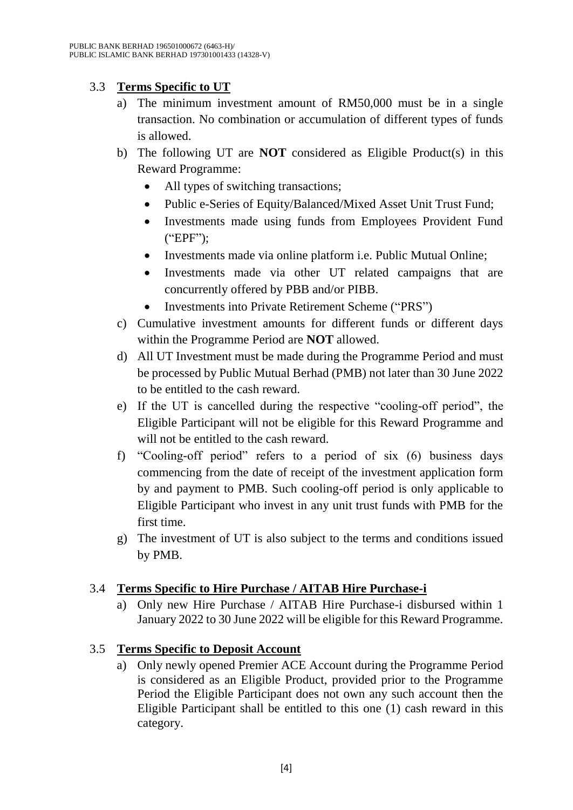# 3.3 **Terms Specific to UT**

- a) The minimum investment amount of RM50,000 must be in a single transaction. No combination or accumulation of different types of funds is allowed.
- b) The following UT are **NOT** considered as Eligible Product(s) in this Reward Programme:
	- All types of switching transactions;
	- Public e-Series of Equity/Balanced/Mixed Asset Unit Trust Fund;
	- Investments made using funds from Employees Provident Fund ("EPF");
	- Investments made via online platform i.e. Public Mutual Online;
	- Investments made via other UT related campaigns that are concurrently offered by PBB and/or PIBB.
	- Investments into Private Retirement Scheme ("PRS")
- c) Cumulative investment amounts for different funds or different days within the Programme Period are **NOT** allowed.
- d) All UT Investment must be made during the Programme Period and must be processed by Public Mutual Berhad (PMB) not later than 30 June 2022 to be entitled to the cash reward.
- e) If the UT is cancelled during the respective "cooling-off period", the Eligible Participant will not be eligible for this Reward Programme and will not be entitled to the cash reward.
- f) "Cooling-off period" refers to a period of six (6) business days commencing from the date of receipt of the investment application form by and payment to PMB. Such cooling-off period is only applicable to Eligible Participant who invest in any unit trust funds with PMB for the first time.
- g) The investment of UT is also subject to the terms and conditions issued by PMB.

# 3.4 **Terms Specific to Hire Purchase / AITAB Hire Purchase-i**

a) Only new Hire Purchase / AITAB Hire Purchase-i disbursed within 1 January 2022 to 30 June 2022 will be eligible for this Reward Programme.

# 3.5 **Terms Specific to Deposit Account**

a) Only newly opened Premier ACE Account during the Programme Period is considered as an Eligible Product, provided prior to the Programme Period the Eligible Participant does not own any such account then the Eligible Participant shall be entitled to this one (1) cash reward in this category.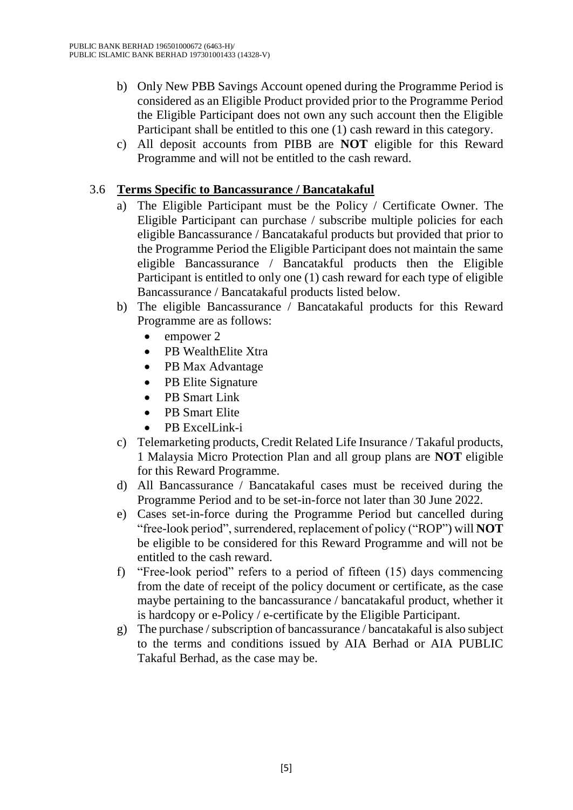- b) Only New PBB Savings Account opened during the Programme Period is considered as an Eligible Product provided prior to the Programme Period the Eligible Participant does not own any such account then the Eligible Participant shall be entitled to this one (1) cash reward in this category.
- c) All deposit accounts from PIBB are **NOT** eligible for this Reward Programme and will not be entitled to the cash reward.

#### 3.6 **Terms Specific to Bancassurance / Bancatakaful**

- a) The Eligible Participant must be the Policy / Certificate Owner. The Eligible Participant can purchase / subscribe multiple policies for each eligible Bancassurance / Bancatakaful products but provided that prior to the Programme Period the Eligible Participant does not maintain the same eligible Bancassurance / Bancatakful products then the Eligible Participant is entitled to only one (1) cash reward for each type of eligible Bancassurance / Bancatakaful products listed below.
- b) The eligible Bancassurance / Bancatakaful products for this Reward Programme are as follows:
	- empower 2
	- PB WealthElite Xtra
	- PB Max Advantage
	- PB Elite Signature
	- PB Smart Link
	- PB Smart Elite
	- PB ExcelLink-i
- c) Telemarketing products, Credit Related Life Insurance / Takaful products, 1 Malaysia Micro Protection Plan and all group plans are **NOT** eligible for this Reward Programme.
- d) All Bancassurance / Bancatakaful cases must be received during the Programme Period and to be set-in-force not later than 30 June 2022.
- e) Cases set-in-force during the Programme Period but cancelled during "free-look period", surrendered, replacement of policy ("ROP") will **NOT** be eligible to be considered for this Reward Programme and will not be entitled to the cash reward.
- f) "Free-look period" refers to a period of fifteen (15) days commencing from the date of receipt of the policy document or certificate, as the case maybe pertaining to the bancassurance / bancatakaful product, whether it is hardcopy or e-Policy / e-certificate by the Eligible Participant.
- g) The purchase / subscription of bancassurance / bancatakaful is also subject to the terms and conditions issued by AIA Berhad or AIA PUBLIC Takaful Berhad, as the case may be.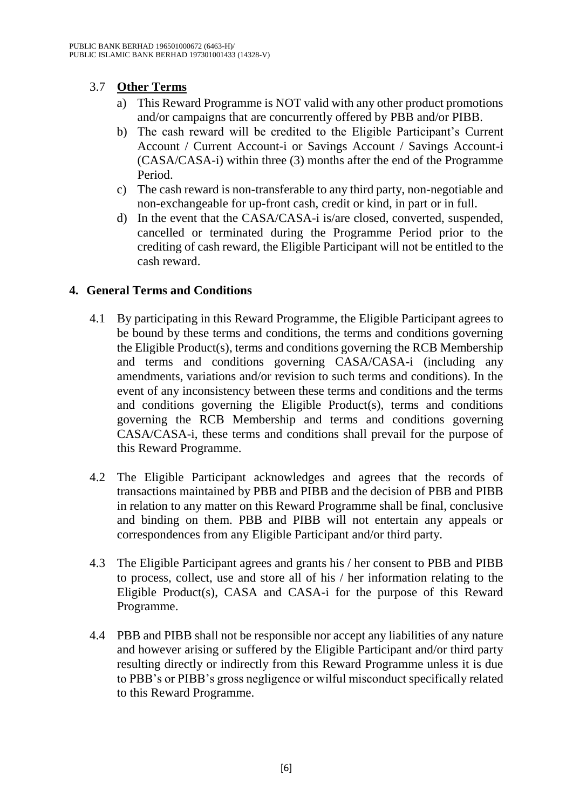### 3.7 **Other Terms**

- a) This Reward Programme is NOT valid with any other product promotions and/or campaigns that are concurrently offered by PBB and/or PIBB.
- b) The cash reward will be credited to the Eligible Participant's Current Account / Current Account-i or Savings Account / Savings Account-i (CASA/CASA-i) within three (3) months after the end of the Programme Period.
- c) The cash reward is non-transferable to any third party, non-negotiable and non-exchangeable for up-front cash, credit or kind, in part or in full.
- d) In the event that the CASA/CASA-i is/are closed, converted, suspended, cancelled or terminated during the Programme Period prior to the crediting of cash reward, the Eligible Participant will not be entitled to the cash reward.

#### **4. General Terms and Conditions**

- 4.1 By participating in this Reward Programme, the Eligible Participant agrees to be bound by these terms and conditions, the terms and conditions governing the Eligible Product(s), terms and conditions governing the RCB Membership and terms and conditions governing CASA/CASA-i (including any amendments, variations and/or revision to such terms and conditions). In the event of any inconsistency between these terms and conditions and the terms and conditions governing the Eligible Product(s), terms and conditions governing the RCB Membership and terms and conditions governing CASA/CASA-i, these terms and conditions shall prevail for the purpose of this Reward Programme.
- 4.2 The Eligible Participant acknowledges and agrees that the records of transactions maintained by PBB and PIBB and the decision of PBB and PIBB in relation to any matter on this Reward Programme shall be final, conclusive and binding on them. PBB and PIBB will not entertain any appeals or correspondences from any Eligible Participant and/or third party.
- 4.3 The Eligible Participant agrees and grants his / her consent to PBB and PIBB to process, collect, use and store all of his / her information relating to the Eligible Product(s), CASA and CASA-i for the purpose of this Reward Programme.
- 4.4 PBB and PIBB shall not be responsible nor accept any liabilities of any nature and however arising or suffered by the Eligible Participant and/or third party resulting directly or indirectly from this Reward Programme unless it is due to PBB's or PIBB's gross negligence or wilful misconduct specifically related to this Reward Programme.